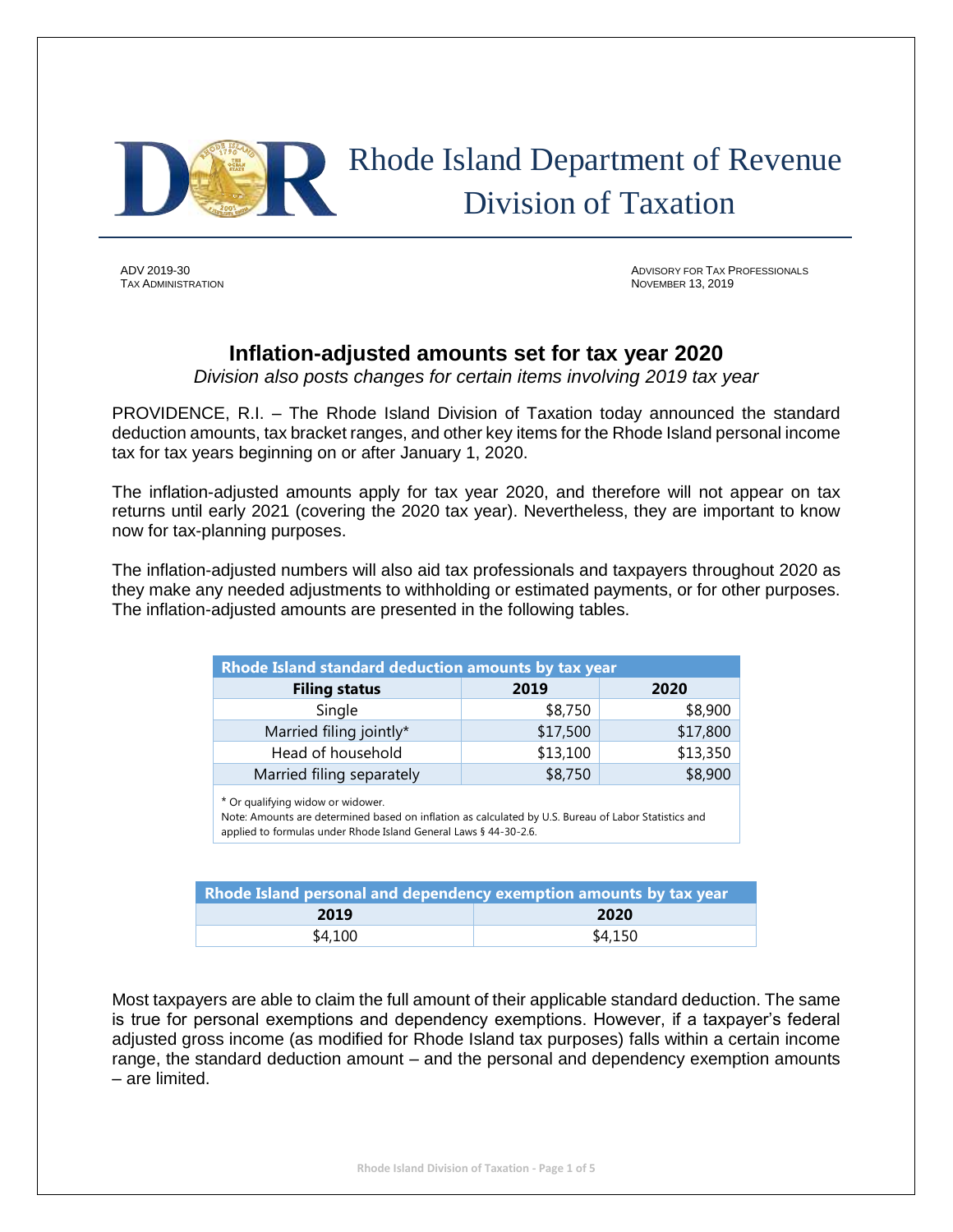

 Rhode Island Department of Revenue Division of Taxation

ADV 2019-30 ADVISORY FOR TAX PROFESSIONALS **NOVEMBER 13, 2019** 

# **Inflation-adjusted amounts set for tax year 2020**

*Division also posts changes for certain items involving 2019 tax year*

PROVIDENCE, R.I. – The Rhode Island Division of Taxation today announced the standard deduction amounts, tax bracket ranges, and other key items for the Rhode Island personal income tax for tax years beginning on or after January 1, 2020.

The inflation-adjusted amounts apply for tax year 2020, and therefore will not appear on tax returns until early 2021 (covering the 2020 tax year). Nevertheless, they are important to know now for tax-planning purposes.

The inflation-adjusted numbers will also aid tax professionals and taxpayers throughout 2020 as they make any needed adjustments to withholding or estimated payments, or for other purposes. The inflation-adjusted amounts are presented in the following tables.

| Rhode Island standard deduction amounts by tax year |          |          |  |  |  |
|-----------------------------------------------------|----------|----------|--|--|--|
| <b>Filing status</b>                                | 2019     | 2020     |  |  |  |
| Single                                              | \$8,750  | \$8,900  |  |  |  |
| Married filing jointly*                             | \$17,500 | \$17,800 |  |  |  |
| Head of household                                   | \$13,100 | \$13,350 |  |  |  |
| Married filing separately                           | \$8,750  | \$8,900  |  |  |  |

\* Or qualifying widow or widower.

Note: Amounts are determined based on inflation as calculated by U.S. Bureau of Labor Statistics and applied to formulas under Rhode Island General Laws § 44-30-2.6.

| Rhode Island personal and dependency exemption amounts by tax year |         |  |  |  |  |
|--------------------------------------------------------------------|---------|--|--|--|--|
| 2019                                                               | -2020   |  |  |  |  |
| \$4,100                                                            | \$4,150 |  |  |  |  |

Most taxpayers are able to claim the full amount of their applicable standard deduction. The same is true for personal exemptions and dependency exemptions. However, if a taxpayer's federal adjusted gross income (as modified for Rhode Island tax purposes) falls within a certain income range, the standard deduction amount – and the personal and dependency exemption amounts – are limited.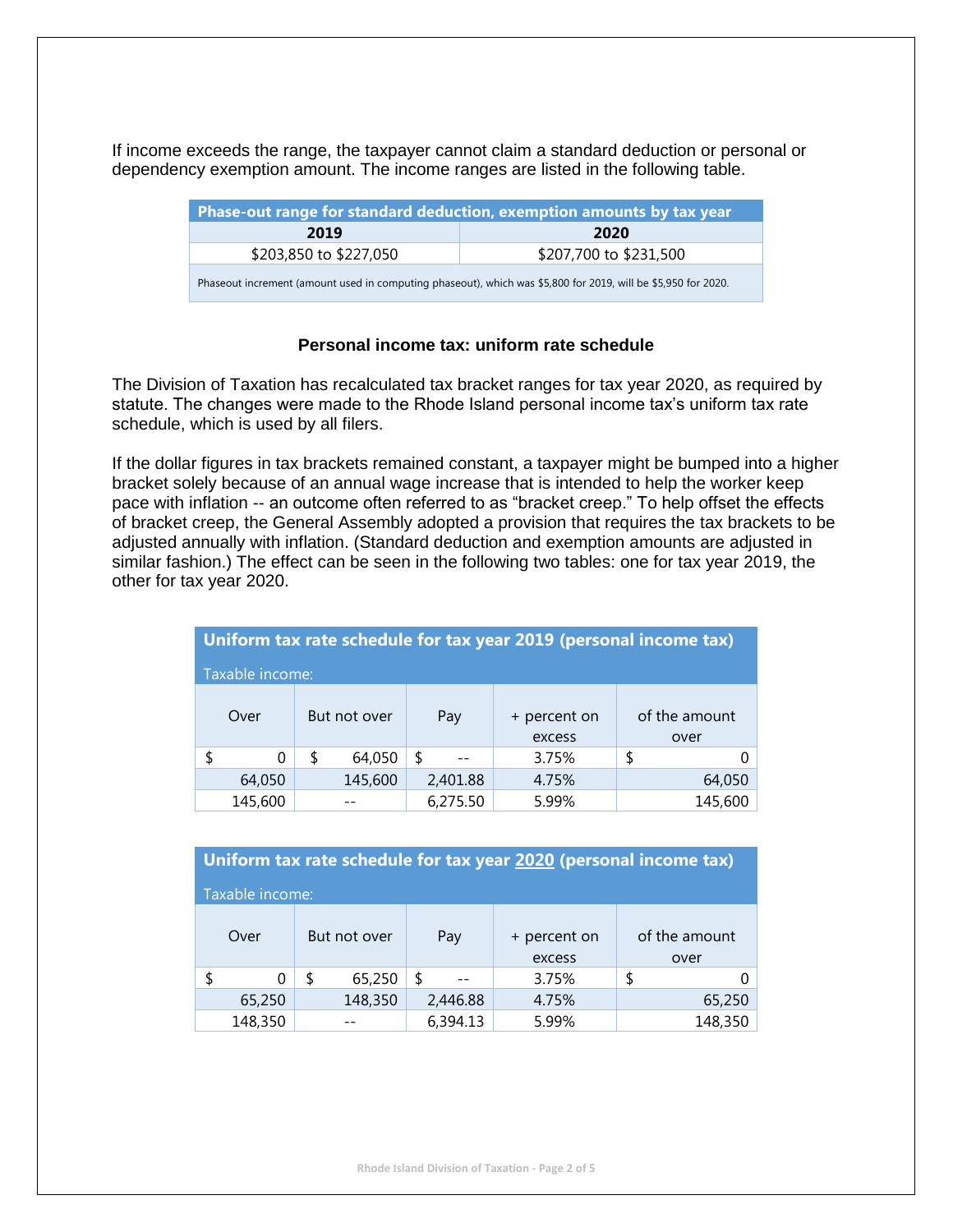If income exceeds the range, the taxpayer cannot claim a standard deduction or personal or dependency exemption amount. The income ranges are listed in the following table.

| Phase-out range for standard deduction, exemption amounts by tax year                                         |                        |  |  |  |  |
|---------------------------------------------------------------------------------------------------------------|------------------------|--|--|--|--|
| 2019                                                                                                          | 2020                   |  |  |  |  |
| \$203,850 to \$227,050                                                                                        | \$207,700 to \$231,500 |  |  |  |  |
| Phaseout increment (amount used in computing phaseout), which was \$5,800 for 2019, will be \$5,950 for 2020. |                        |  |  |  |  |

## **Personal income tax: uniform rate schedule**

The Division of Taxation has recalculated tax bracket ranges for tax year 2020, as required by statute. The changes were made to the Rhode Island personal income tax's uniform tax rate schedule, which is used by all filers.

If the dollar figures in tax brackets remained constant, a taxpayer might be bumped into a higher bracket solely because of an annual wage increase that is intended to help the worker keep pace with inflation -- an outcome often referred to as "bracket creep." To help offset the effects of bracket creep, the General Assembly adopted a provision that requires the tax brackets to be adjusted annually with inflation. (Standard deduction and exemption amounts are adjusted in similar fashion.) The effect can be seen in the following two tables: one for tax year 2019, the other for tax year 2020.

| Uniform tax rate schedule for tax year 2019 (personal income tax) |    |              |          |                        |    |                       |  |  |
|-------------------------------------------------------------------|----|--------------|----------|------------------------|----|-----------------------|--|--|
| Taxable income:                                                   |    |              |          |                        |    |                       |  |  |
| Over                                                              |    | But not over | Pay      | + percent on<br>excess |    | of the amount<br>over |  |  |
| \$<br>0                                                           | \$ | 64,050       | \$       | 3.75%                  | \$ |                       |  |  |
| 64,050                                                            |    | 145,600      | 2,401.88 | 4.75%                  |    | 64,050                |  |  |
| 145,600                                                           |    |              | 6,275.50 | 5.99%                  |    | 145,600               |  |  |

|                 | Uniform tax rate schedule for tax year 2020 (personal income tax) |   |              |                        |       |                       |         |  |
|-----------------|-------------------------------------------------------------------|---|--------------|------------------------|-------|-----------------------|---------|--|
| Taxable income: |                                                                   |   |              |                        |       |                       |         |  |
|                 | Over                                                              |   | But not over | + percent on<br>excess |       | of the amount<br>over |         |  |
|                 | 0                                                                 | S | 65,250       | \$                     | 3.75% | \$                    |         |  |
|                 | 65,250                                                            |   | 148,350      | 2,446.88               | 4.75% |                       | 65,250  |  |
|                 | 148,350                                                           |   |              | 6,394.13               | 5.99% |                       | 148,350 |  |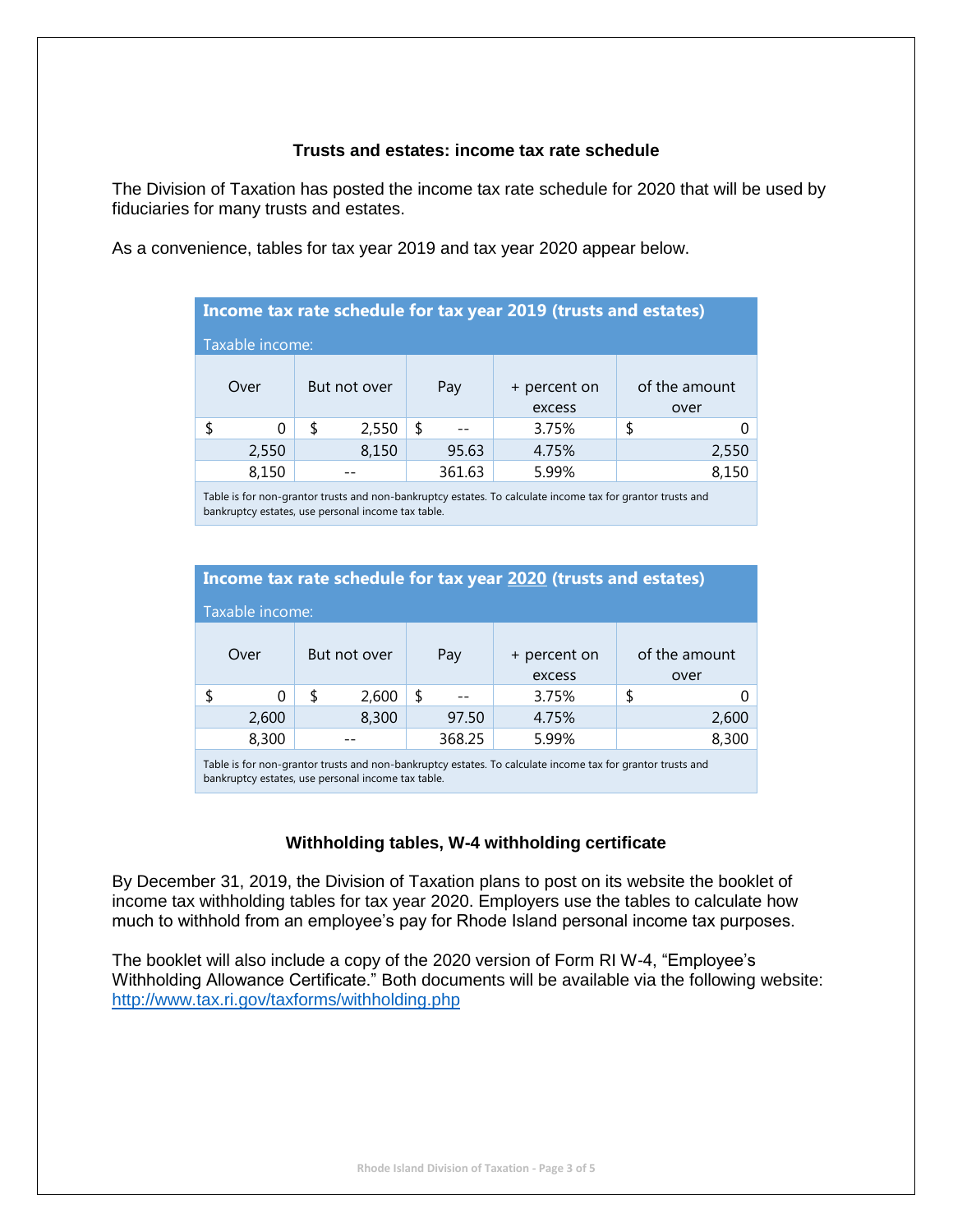#### **Trusts and estates: income tax rate schedule**

The Division of Taxation has posted the income tax rate schedule for 2020 that will be used by fiduciaries for many trusts and estates.

As a convenience, tables for tax year 2019 and tax year 2020 appear below.

| Income tax rate schedule for tax year 2019 (trusts and estates) |   |              |   |        |                        |   |                       |
|-----------------------------------------------------------------|---|--------------|---|--------|------------------------|---|-----------------------|
| Taxable income:                                                 |   |              |   |        |                        |   |                       |
| Over                                                            |   | But not over |   | Pay    | + percent on<br>excess |   | of the amount<br>over |
|                                                                 | S | 2,550        | S |        | 3.75%                  | S |                       |
| 2,550                                                           |   | 8,150        |   | 95.63  | 4.75%                  |   | 2,550                 |
| 8,150                                                           |   |              |   | 361.63 | 5.99%                  |   |                       |

Table is for non-grantor trusts and non-bankruptcy estates. To calculate income tax for grantor trusts and bankruptcy estates, use personal income tax table.

|                                                                                                                                                                  | Income tax rate schedule for tax year 2020 (trusts and estates) |   |       |   |       |        |    |       |
|------------------------------------------------------------------------------------------------------------------------------------------------------------------|-----------------------------------------------------------------|---|-------|---|-------|--------|----|-------|
| Taxable income:                                                                                                                                                  |                                                                 |   |       |   |       |        |    |       |
| of the amount<br>Over<br>But not over<br>Pay<br>+ percent on                                                                                                     |                                                                 |   |       |   |       |        |    |       |
|                                                                                                                                                                  |                                                                 |   |       |   |       | excess |    | over  |
|                                                                                                                                                                  | O                                                               | S | 2,600 | S |       | 3.75%  | \$ |       |
|                                                                                                                                                                  | 2,600                                                           |   | 8,300 |   | 97.50 | 4.75%  |    | 2,600 |
|                                                                                                                                                                  | 8,300<br>368.25<br>8,300<br>5.99%                               |   |       |   |       |        |    |       |
| Table is for non-grantor trusts and non-bankruptcy estates. To calculate income tax for grantor trusts and<br>bankruptcy estates, use personal income tax table. |                                                                 |   |       |   |       |        |    |       |

#### **Withholding tables, W-4 withholding certificate**

By December 31, 2019, the Division of Taxation plans to post on its website the booklet of income tax withholding tables for tax year 2020. Employers use the tables to calculate how much to withhold from an employee's pay for Rhode Island personal income tax purposes.

The booklet will also include a copy of the 2020 version of Form RI W-4, "Employee's Withholding Allowance Certificate." Both documents will be available via the following website: <http://www.tax.ri.gov/taxforms/withholding.php>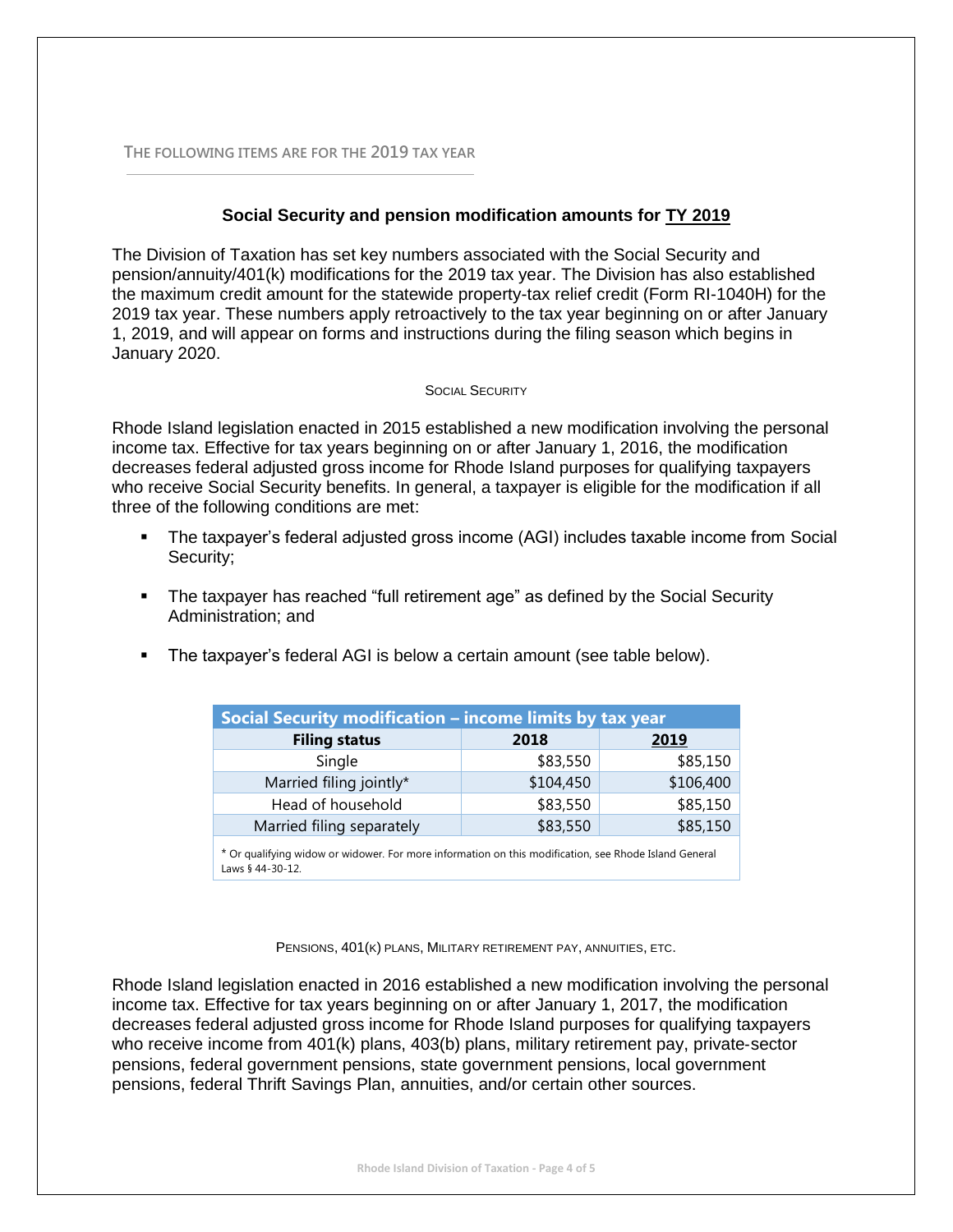**THE FOLLOWING ITEMS ARE FOR THE 2019 TAX YEAR**

### **Social Security and pension modification amounts for TY 2019**

The Division of Taxation has set key numbers associated with the Social Security and pension/annuity/401(k) modifications for the 2019 tax year. The Division has also established the maximum credit amount for the statewide property-tax relief credit (Form RI-1040H) for the 2019 tax year. These numbers apply retroactively to the tax year beginning on or after January 1, 2019, and will appear on forms and instructions during the filing season which begins in January 2020.

#### SOCIAL SECURITY

Rhode Island legislation enacted in 2015 established a new modification involving the personal income tax. Effective for tax years beginning on or after January 1, 2016, the modification decreases federal adjusted gross income for Rhode Island purposes for qualifying taxpayers who receive Social Security benefits. In general, a taxpayer is eligible for the modification if all three of the following conditions are met:

- **•** The taxpayer's federal adjusted gross income (AGI) includes taxable income from Social Security;
- The taxpayer has reached "full retirement age" as defined by the Social Security Administration; and
- The taxpayer's federal AGI is below a certain amount (see table below).

| Social Security modification - income limits by tax year                                                                  |           |           |  |  |  |  |
|---------------------------------------------------------------------------------------------------------------------------|-----------|-----------|--|--|--|--|
| <b>Filing status</b>                                                                                                      | 2018      | 2019      |  |  |  |  |
| Single                                                                                                                    | \$83,550  | \$85,150  |  |  |  |  |
| Married filing jointly*                                                                                                   | \$104,450 | \$106,400 |  |  |  |  |
| Head of household                                                                                                         | \$83,550  | \$85,150  |  |  |  |  |
| Married filing separately                                                                                                 | \$83,550  | \$85,150  |  |  |  |  |
| * Or qualifying widow or widower. For more information on this modification, see Rhode Island General<br>Laws § 44-30-12. |           |           |  |  |  |  |

PENSIONS, 401(K) PLANS, MILITARY RETIREMENT PAY, ANNUITIES, ETC.

Rhode Island legislation enacted in 2016 established a new modification involving the personal income tax. Effective for tax years beginning on or after January 1, 2017, the modification decreases federal adjusted gross income for Rhode Island purposes for qualifying taxpayers who receive income from 401(k) plans, 403(b) plans, military retirement pay, private-sector pensions, federal government pensions, state government pensions, local government pensions, federal Thrift Savings Plan, annuities, and/or certain other sources.